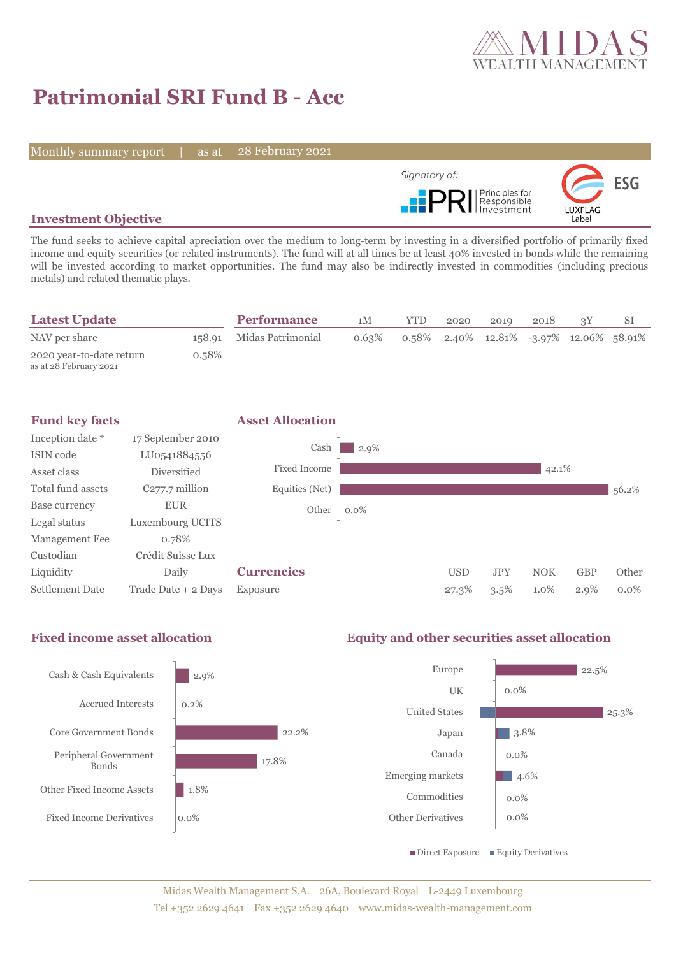

# **Patrimonial SRI Fund B - Acc**

Monthly summary report | as at

28 February 2021



### **Investment Objective**

The fund seeks to achieve capital apreciation over the medium to long-term by investing in a diversified portfolio of primarily fixed income and equity securities (or related instruments). The fund will at all times be at least 40% invested in bonds while the remaining will be invested according to market opportunities. The fund may also be indirectly invested in commodities (including precious metals) and related thematic plays.

| <b>Latest Update</b>                               |       | <b>Performance</b>       | 1M    | YTD | 2020 | 2019 | 2018 |                                            |  |
|----------------------------------------------------|-------|--------------------------|-------|-----|------|------|------|--------------------------------------------|--|
| NAV per share                                      |       | 158.91 Midas Patrimonial | 0.63% |     |      |      |      | $0.58\%$ 2.40% 12.81% -3.97% 12.06% 58.91% |  |
| 2020 year-to-date return<br>as at 28 February 2021 | 0.58% |                          |       |     |      |      |      |                                            |  |



#### **Fixed income asset allocation Equity and other securities asset allocation** 2.9% 0.2% 22.2% 17.8% 1.8% 0.0% Cash & Cash Equivalents Accrued Interests Core Government Bonds Peripheral Government Bonds Other Fixed Income Assets Fixed Income Derivatives  $\frac{1}{22.5\%}$ 0.0% 25.3% 3.8% 0.0%  $\blacksquare$  4.6% 0.0% 0.0% Europe UK United States Japan Canada Emerging markets Commodities Other Derivatives  $\blacksquare$  Direct Exposure  $\blacksquare$  Equity Derivatives

Midas Wealth Management S.A. 26A, Boulevard Royal L-2449 Luxembourg Tel +352 2629 4641 Fax +352 2629 4640 www.midas-wealth-management.com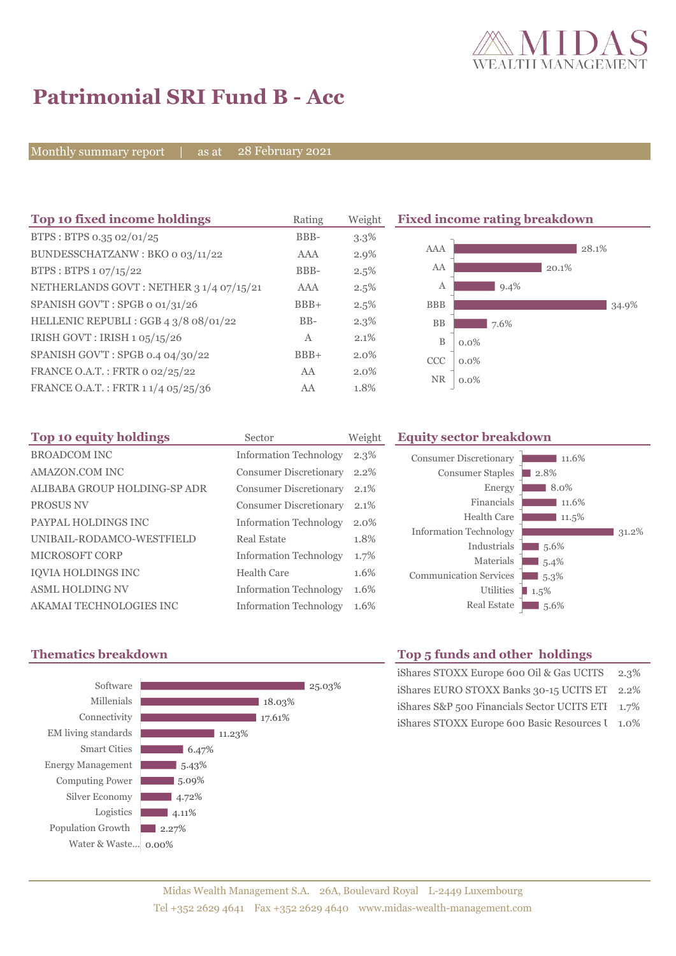

# **Patrimonial SRI Fund B - Acc**

Monthly summary report | as at 28 February 2021

| Top 10 fixed income holdings            | Rating | Weight  |             | <b>Fixed income rating breakdown</b> |       |       |
|-----------------------------------------|--------|---------|-------------|--------------------------------------|-------|-------|
| BTPS: BTPS 0.35 02/01/25                | BBB-   | $3.3\%$ |             |                                      |       |       |
| BUNDESSCHATZANW: BKO 0 03/11/22         | AAA    | 2.9%    | AAA         |                                      | 28.1% |       |
| BTPS: BTPS 1 07/15/22                   | BBB-   | 2.5%    | AA          |                                      | 20.1% |       |
| NETHERLANDS GOVT: NETHER 3 1/4 07/15/21 | AAA    | 2.5%    | А           | $9.4\%$                              |       |       |
| SPANISH GOV'T: SPGB o 01/31/26          | $BBB+$ | 2.5%    | <b>BBB</b>  |                                      |       | 34.9% |
| HELLENIC REPUBLI: GGB 4 3/8 08/01/22    | $BB-$  | $2.3\%$ | <b>BB</b>   | 7.6%                                 |       |       |
| IRISH GOVT : IRISH 1 05/15/26           | A      | 2.1%    | $\mathbf B$ | $0.0\%$                              |       |       |
| SPANISH GOV'T: SPGB 0.4 04/30/22        | $BBB+$ | $2.0\%$ | <b>CCC</b>  | $0.0\%$                              |       |       |
| FRANCE O.A.T.: FRTR 0 02/25/22          | AA     | $2.0\%$ |             |                                      |       |       |
| FRANCE O.A.T.: FRTR 1 1/4 05/25/36      | AA     | 1.8%    | NR.         | $0.0\%$                              |       |       |

| Top 10 equity holdings       | Sector                        | Weight |
|------------------------------|-------------------------------|--------|
| <b>BROADCOM INC</b>          | <b>Information Technology</b> | 2.3%   |
| AMAZON.COM INC               | <b>Consumer Discretionary</b> | 2.2%   |
| ALIBABA GROUP HOLDING-SP ADR | <b>Consumer Discretionary</b> | 2.1%   |
| <b>PROSUS NV</b>             | <b>Consumer Discretionary</b> | 2.1%   |
| PAYPAL HOLDINGS INC          | <b>Information Technology</b> | 2.0%   |
| UNIBAIL-RODAMCO-WESTFIELD    | Real Estate                   | 1.8%   |
| MICROSOFT CORP               | <b>Information Technology</b> | 1.7%   |
| IQVIA HOLDINGS INC           | Health Care                   | 1.6%   |
| <b>ASML HOLDING NV</b>       | <b>Information Technology</b> | 1.6%   |
| AKAMAI TECHNOLOGIES INC      | <b>Information Technology</b> | 1.6%   |

#### **Equity sector breakdown**





## **Thematics breakdown Top 5 funds and other holdings**

| iShares STOXX Europe 600 Oil & Gas UCITS 2.3%    |  |
|--------------------------------------------------|--|
| iShares EURO STOXX Banks 30-15 UCITS ET 2.2%     |  |
| iShares S&P 500 Financials Sector UCITS ETI 1.7% |  |
| iShares STOXX Europe 600 Basic Resources I 1.0%  |  |